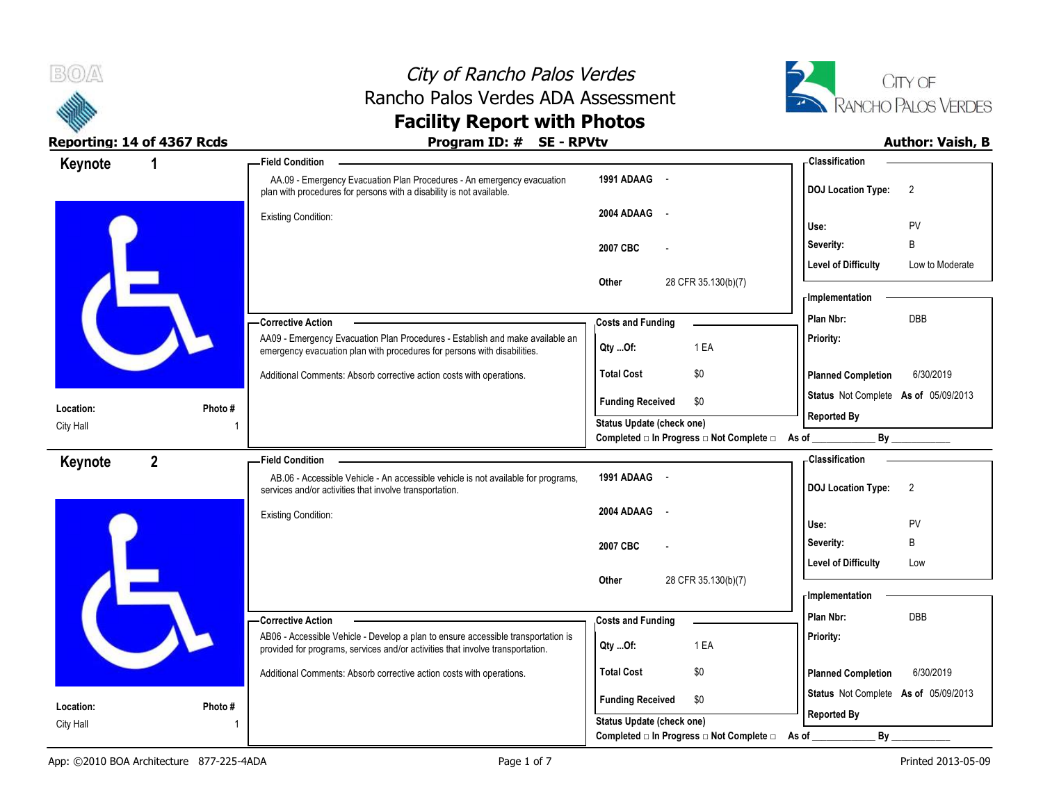



#### **Reporting: 14 of 4367 Rcds Program ID: # SE - RPVtv Author: Vaish, B Author: Vaish, B**

| Keynote   |                | <b>Field Condition</b>                                                                                                                                              |                                                                             | - Classification                              |
|-----------|----------------|---------------------------------------------------------------------------------------------------------------------------------------------------------------------|-----------------------------------------------------------------------------|-----------------------------------------------|
|           |                | AA.09 - Emergency Evacuation Plan Procedures - An emergency evacuation<br>plan with procedures for persons with a disability is not available.                      | 1991 ADAAG -                                                                | <b>DOJ Location Type:</b><br>2                |
|           |                | <b>Existing Condition:</b>                                                                                                                                          | 2004 ADAAG<br>$\sim$                                                        | PV<br>Use:                                    |
|           |                |                                                                                                                                                                     | 2007 CBC<br>$\overline{a}$                                                  | Severity:<br>B                                |
|           |                |                                                                                                                                                                     |                                                                             | <b>Level of Difficulty</b><br>Low to Moderate |
|           |                |                                                                                                                                                                     | Other<br>28 CFR 35.130(b)(7)                                                | - Implementation                              |
|           |                | - Corrective Action                                                                                                                                                 | <b>Costs and Funding</b>                                                    | DBB<br>Plan Nbr:                              |
|           |                | AA09 - Emergency Evacuation Plan Procedures - Establish and make available an<br>emergency evacuation plan with procedures for persons with disabilities.           | 1 EA<br>Qty Of:                                                             | Priority:                                     |
|           |                | Additional Comments: Absorb corrective action costs with operations.                                                                                                | <b>Total Cost</b><br>\$0                                                    | <b>Planned Completion</b><br>6/30/2019        |
| Location: | Photo#         |                                                                                                                                                                     | <b>Funding Received</b><br>\$0                                              | Status Not Complete As of 05/09/2013          |
| City Hall |                |                                                                                                                                                                     | Status Update (check one)<br>Completed □ In Progress □ Not Complete □ As of | <b>Reported By</b><br>$\mathsf{By}$           |
| Keynote   | $\overline{2}$ | <b>Field Condition</b>                                                                                                                                              |                                                                             | <b>Classification</b>                         |
|           |                | AB.06 - Accessible Vehicle - An accessible vehicle is not available for programs,<br>services and/or activities that involve transportation.                        | 1991 ADAAG -                                                                | <b>DOJ Location Type:</b><br>$\overline{2}$   |
|           |                | <b>Existing Condition:</b>                                                                                                                                          | 2004 ADAAG<br>$\sim$                                                        | PV<br>Use:                                    |
|           |                |                                                                                                                                                                     | 2007 CBC                                                                    | B<br>Severity:                                |
|           |                |                                                                                                                                                                     |                                                                             | <b>Level of Difficulty</b><br>Low             |
|           |                |                                                                                                                                                                     | 28 CFR 35.130(b)(7)<br>Other                                                | <b>Implementation</b>                         |
|           |                | -Corrective Action                                                                                                                                                  | <b>Costs and Funding</b>                                                    | Plan Nbr:<br>DBB                              |
|           |                | AB06 - Accessible Vehicle - Develop a plan to ensure accessible transportation is<br>provided for programs, services and/or activities that involve transportation. | 1 EA<br>Qty Of:                                                             | Priority:                                     |
|           |                | Additional Comments: Absorb corrective action costs with operations.                                                                                                | <b>Total Cost</b><br>\$0                                                    | 6/30/2019<br><b>Planned Completion</b>        |
| Location: | Photo#         |                                                                                                                                                                     | <b>Funding Received</b><br>\$0                                              | Status Not Complete As of 05/09/2013          |
| City Hall |                |                                                                                                                                                                     | Status Update (check one)                                                   | <b>Reported By</b>                            |
|           |                |                                                                                                                                                                     | Completed □ In Progress □ Not Complete □                                    | $By_$<br>As of                                |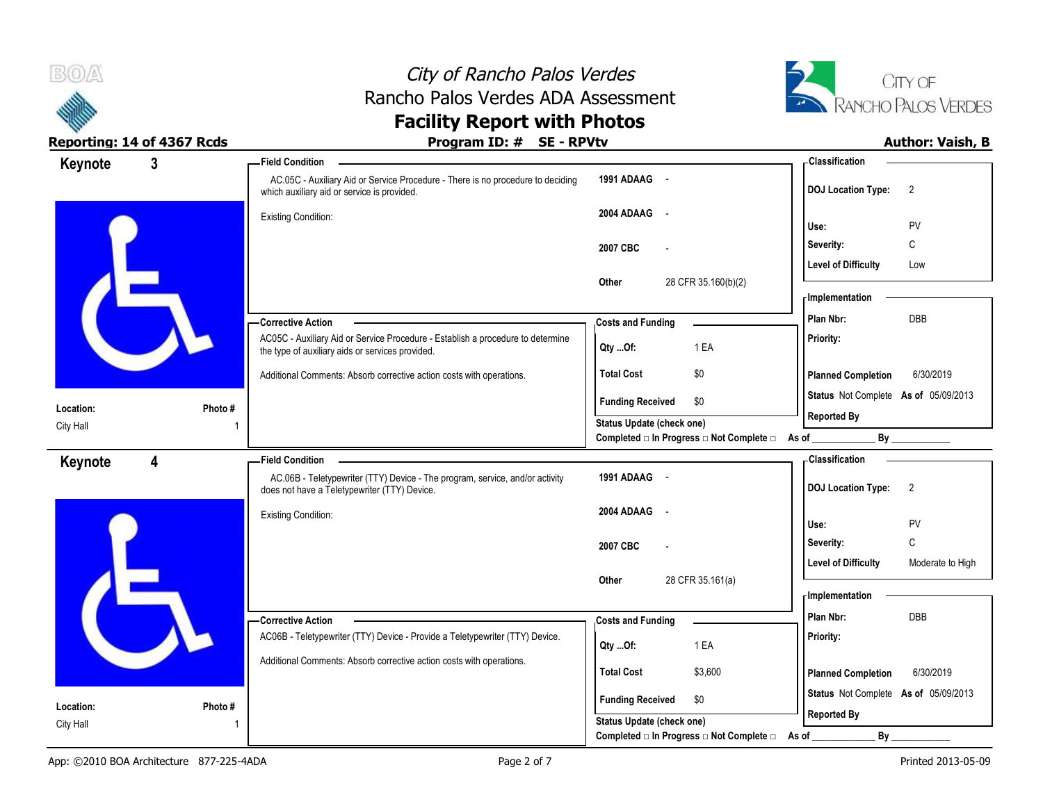



#### **Reporting: 14 of 4367 Rcds Program ID: # SE - RPVtv Author: Vaish, B**

| Keynote                | $\overline{3}$          | - Field Condition                                                                                                              |                                          | <b>Classification</b>                          |
|------------------------|-------------------------|--------------------------------------------------------------------------------------------------------------------------------|------------------------------------------|------------------------------------------------|
|                        |                         | AC.05C - Auxiliary Aid or Service Procedure - There is no procedure to deciding<br>which auxiliary aid or service is provided. | 1991 ADAAG -                             | <b>DOJ Location Type:</b><br>2                 |
|                        |                         | <b>Existing Condition:</b>                                                                                                     | 2004 ADAAG<br>$\sim$                     | <b>PV</b><br>Use:                              |
|                        |                         |                                                                                                                                | 2007 CBC                                 | C<br>Severity:                                 |
|                        |                         |                                                                                                                                |                                          | Level of Difficulty<br>Low                     |
|                        |                         |                                                                                                                                | 28 CFR 35.160(b)(2)<br>Other             | - Implementation                               |
|                        |                         |                                                                                                                                |                                          | DBB<br>Plan Nbr:                               |
|                        |                         | - Corrective Action<br>AC05C - Auxiliary Aid or Service Procedure - Establish a procedure to determine                         | <b>Costs and Funding</b>                 | <b>Priority:</b>                               |
|                        |                         | the type of auxiliary aids or services provided.                                                                               | 1 EA<br>Qty Of:                          |                                                |
|                        |                         | Additional Comments: Absorb corrective action costs with operations.                                                           | \$0<br><b>Total Cost</b>                 | <b>Planned Completion</b><br>6/30/2019         |
| Location:              | Photo#                  |                                                                                                                                | \$0<br><b>Funding Received</b>           | Status Not Complete As of 05/09/2013           |
| City Hall              |                         |                                                                                                                                | <b>Status Update (check one)</b>         | <b>Reported By</b>                             |
|                        |                         |                                                                                                                                | Completed □ In Progress □ Not Complete □ | By                                             |
| Keynote                | $\overline{\mathbf{4}}$ | <b>Field Condition</b><br>AC.06B - Teletypewriter (TTY) Device - The program, service, and/or activity                         | 1991 ADAAG -                             | <b>Classification</b><br>2                     |
|                        |                         | does not have a Teletypewriter (TTY) Device.                                                                                   |                                          | <b>DOJ Location Type:</b>                      |
|                        |                         | <b>Existing Condition:</b>                                                                                                     | 2004 ADAAG<br>$\sim$                     | PV<br>Use:                                     |
|                        |                         |                                                                                                                                | 2007 CBC                                 | $\mathsf C$<br>Severity:                       |
|                        |                         |                                                                                                                                |                                          | <b>Level of Difficulty</b><br>Moderate to High |
|                        |                         |                                                                                                                                | 28 CFR 35.161(a)<br>Other                |                                                |
|                        |                         |                                                                                                                                |                                          | - Implementation<br>Plan Nbr:<br><b>DBB</b>    |
|                        |                         | -Corrective Action<br>AC06B - Teletypewriter (TTY) Device - Provide a Teletypewriter (TTY) Device.                             | <b>Costs and Funding</b>                 | Priority:                                      |
|                        |                         |                                                                                                                                | 1 EA<br>$Qty$ Of:                        |                                                |
|                        |                         | Additional Comments: Absorb corrective action costs with operations.                                                           | <b>Total Cost</b><br>\$3,600             | <b>Planned Completion</b><br>6/30/2019         |
|                        |                         |                                                                                                                                | <b>Funding Received</b><br>\$0           | Status Not Complete As of 05/09/2013           |
| Location:<br>City Hall | Photo #                 |                                                                                                                                | Status Update (check one)                | <b>Reported By</b>                             |
|                        |                         |                                                                                                                                | Completed □ In Progress □ Not Complete □ | $By_$<br>As of                                 |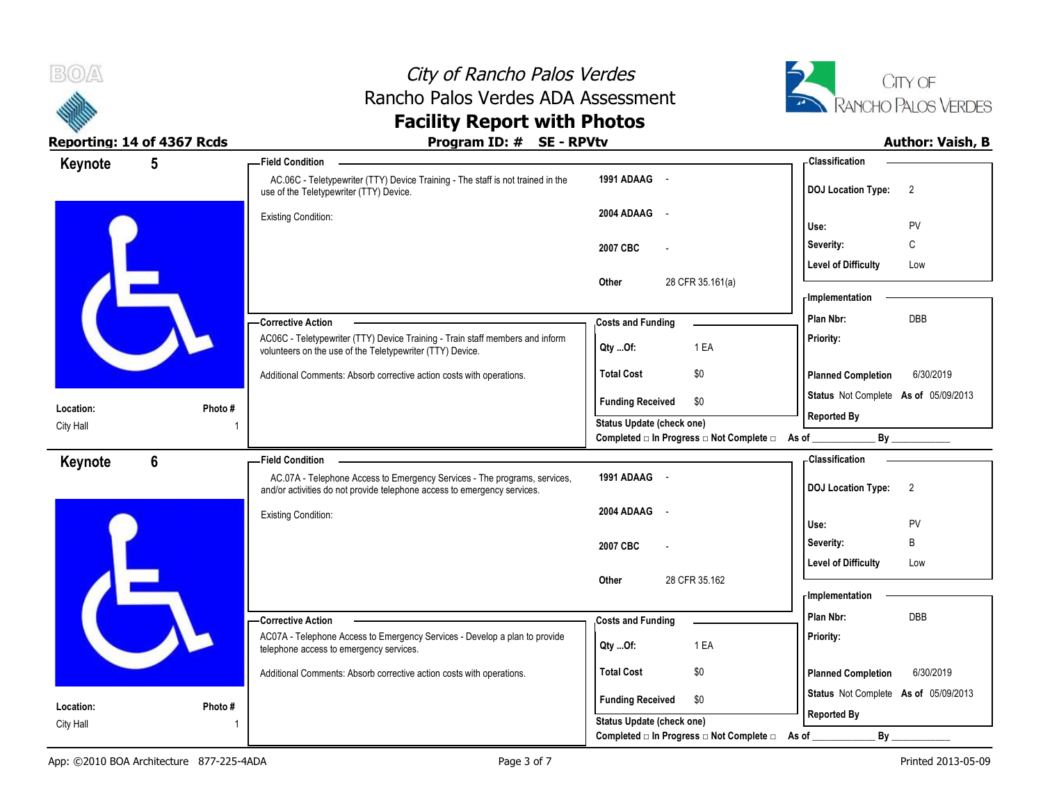



#### **Reporting: 14 of 4367 Rcds Program ID: # SE - RPVtv Author: Vaish, B**

|           |                 | 1199190113917                                                                                                                                         |                                                         | AWWIVII TWIJII/ P                           |
|-----------|-----------------|-------------------------------------------------------------------------------------------------------------------------------------------------------|---------------------------------------------------------|---------------------------------------------|
| Keynote   | $5\phantom{.0}$ | <b>Field Condition</b>                                                                                                                                |                                                         | - Classification                            |
|           |                 | AC.06C - Teletypewriter (TTY) Device Training - The staff is not trained in the<br>use of the Teletypewriter (TTY) Device.                            | 1991 ADAAG -                                            | <b>DOJ Location Type:</b><br>$\overline{2}$ |
|           |                 | <b>Existing Condition:</b>                                                                                                                            | 2004 ADAAG<br>$\sim$                                    |                                             |
|           |                 |                                                                                                                                                       |                                                         | PV<br>Use:                                  |
|           |                 |                                                                                                                                                       | 2007 CBC                                                | C<br>Severity:                              |
|           |                 |                                                                                                                                                       |                                                         | <b>Level of Difficulty</b><br>Low           |
|           |                 |                                                                                                                                                       | 28 CFR 35.161(a)<br>Other                               |                                             |
|           |                 |                                                                                                                                                       |                                                         | <b>Implementation</b>                       |
|           |                 | - Corrective Action                                                                                                                                   | <b>Costs and Funding</b>                                | DBB<br>Plan Nbr:                            |
|           |                 | AC06C - Teletypewriter (TTY) Device Training - Train staff members and inform<br>volunteers on the use of the Teletypewriter (TTY) Device.            | 1 EA<br>Qty Of:                                         | Priority:                                   |
|           |                 | Additional Comments: Absorb corrective action costs with operations.                                                                                  | \$0<br><b>Total Cost</b>                                | 6/30/2019<br><b>Planned Completion</b>      |
| Location: | Photo#          |                                                                                                                                                       | <b>Funding Received</b><br>\$0                          | Status Not Complete As of 05/09/2013        |
| City Hall |                 |                                                                                                                                                       | <b>Status Update (check one)</b>                        | <b>Reported By</b>                          |
|           |                 |                                                                                                                                                       | Completed □ In Progress □ Not Complete □ As of ________ |                                             |
| Keynote   | $6\phantom{1}$  | <b>Field Condition</b>                                                                                                                                |                                                         | - Classification                            |
|           |                 | AC.07A - Telephone Access to Emergency Services - The programs, services,<br>and/or activities do not provide telephone access to emergency services. | 1991 ADAAG -                                            | <b>DOJ Location Type:</b><br>$\overline{2}$ |
|           |                 | <b>Existing Condition:</b>                                                                                                                            | 2004 ADAAG                                              |                                             |
|           |                 |                                                                                                                                                       |                                                         | PV<br>Use:                                  |
|           |                 |                                                                                                                                                       | 2007 CBC                                                | B<br>Severity:                              |
|           |                 |                                                                                                                                                       |                                                         | <b>Level of Difficulty</b><br>Low           |
|           |                 |                                                                                                                                                       | 28 CFR 35.162<br>Other                                  |                                             |
|           |                 |                                                                                                                                                       |                                                         | - Implementation                            |
|           |                 | <b>Corrective Action</b>                                                                                                                              | <b>Costs and Funding</b>                                | Plan Nbr:<br>DBB                            |
|           |                 | AC07A - Telephone Access to Emergency Services - Develop a plan to provide<br>telephone access to emergency services.                                 | 1 EA<br>Qty  Of:                                        | Priority:                                   |
|           |                 | Additional Comments: Absorb corrective action costs with operations.                                                                                  | <b>Total Cost</b><br>\$0                                | 6/30/2019<br><b>Planned Completion</b>      |
| Location: | Photo #         |                                                                                                                                                       | <b>Funding Received</b><br>\$0                          | Status Not Complete As of 05/09/2013        |
| City Hall |                 |                                                                                                                                                       | Status Update (check one)                               | <b>Reported By</b>                          |
|           |                 |                                                                                                                                                       | Completed □ In Progress □ Not Complete □ As of          | By                                          |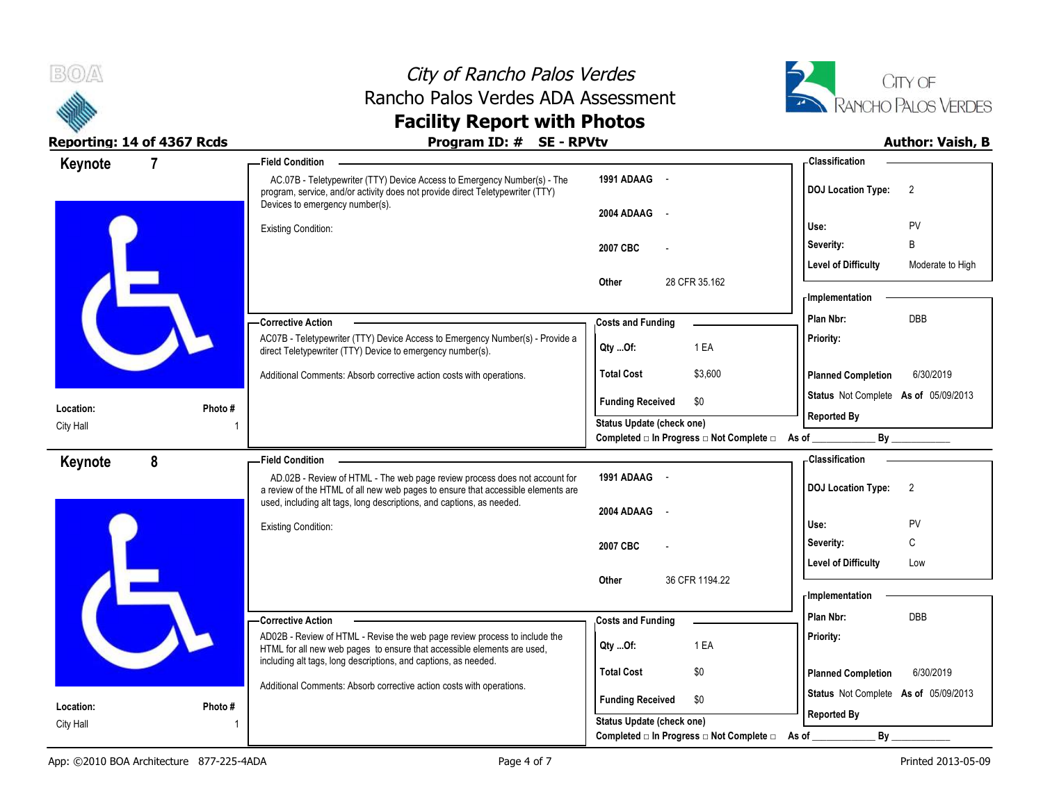



#### Reporting: 14 of 4367 Rcds **Canadian Community Author: Value** Reporting: 14 of 4367 Rcds **B**

|                        |                |                                                                                                                                                                                                                                         |                                                         | AWWIVII TWIJII/ P                                                                                                      |
|------------------------|----------------|-----------------------------------------------------------------------------------------------------------------------------------------------------------------------------------------------------------------------------------------|---------------------------------------------------------|------------------------------------------------------------------------------------------------------------------------|
| Keynote                | $\overline{7}$ | <b>Field Condition</b>                                                                                                                                                                                                                  |                                                         | <b>Classification</b>                                                                                                  |
|                        |                | AC.07B - Teletypewriter (TTY) Device Access to Emergency Number(s) - The<br>program, service, and/or activity does not provide direct Teletypewriter (TTY)<br>Devices to emergency number(s).<br><b>Existing Condition:</b>             | 1991 ADAAG -<br>2004 ADAAG<br>$\sim$<br>2007 CBC        | <b>DOJ Location Type:</b><br>2<br>PV<br>Use:<br>$\sf B$<br>Severity:<br><b>Level of Difficulty</b><br>Moderate to High |
|                        |                |                                                                                                                                                                                                                                         | 28 CFR 35.162<br>Other                                  | <b>Implementation</b>                                                                                                  |
|                        |                | -Corrective Action                                                                                                                                                                                                                      | <b>Costs and Funding</b>                                | <b>DBB</b><br>Plan Nbr:                                                                                                |
|                        |                | AC07B - Teletypewriter (TTY) Device Access to Emergency Number(s) - Provide a<br>direct Teletypewriter (TTY) Device to emergency number(s).                                                                                             | 1 EA<br>Qty Of:                                         | Priority:                                                                                                              |
|                        |                | Additional Comments: Absorb corrective action costs with operations.                                                                                                                                                                    | \$3,600<br><b>Total Cost</b>                            | <b>Planned Completion</b><br>6/30/2019                                                                                 |
| Location:              | Photo#         |                                                                                                                                                                                                                                         | \$0<br><b>Funding Received</b>                          | Status Not Complete As of 05/09/2013                                                                                   |
| City Hall              |                |                                                                                                                                                                                                                                         | Status Update (check one)                               | <b>Reported By</b>                                                                                                     |
|                        |                |                                                                                                                                                                                                                                         | Completed □ In Progress □ Not Complete □ As of ________ |                                                                                                                        |
| Keynote                | 8              | <b>Field Condition</b>                                                                                                                                                                                                                  |                                                         | <b>Classification</b>                                                                                                  |
|                        |                | AD.02B - Review of HTML - The web page review process does not account for<br>a review of the HTML of all new web pages to ensure that accessible elements are<br>used, including alt tags, long descriptions, and captions, as needed. | 1991 ADAAG -<br>2004 ADAAG                              | <b>DOJ Location Type:</b><br>2                                                                                         |
|                        |                | <b>Existing Condition:</b>                                                                                                                                                                                                              |                                                         | Use:<br><b>PV</b>                                                                                                      |
|                        |                |                                                                                                                                                                                                                                         | 2007 CBC                                                | $\mathsf C$<br>Severity:                                                                                               |
|                        |                |                                                                                                                                                                                                                                         |                                                         | <b>Level of Difficulty</b><br>Low                                                                                      |
|                        |                |                                                                                                                                                                                                                                         | 36 CFR 1194.22<br>Other                                 | - Implementation                                                                                                       |
|                        |                |                                                                                                                                                                                                                                         |                                                         | Plan Nbr:<br><b>DBB</b>                                                                                                |
|                        |                | <b>Corrective Action</b><br>AD02B - Review of HTML - Revise the web page review process to include the                                                                                                                                  | <b>Costs and Funding</b>                                | Priority:                                                                                                              |
|                        |                | HTML for all new web pages to ensure that accessible elements are used,                                                                                                                                                                 | 1 EA<br>Qty Of:                                         |                                                                                                                        |
|                        |                | including alt tags, long descriptions, and captions, as needed.                                                                                                                                                                         | <b>Total Cost</b><br>\$0                                | <b>Planned Completion</b><br>6/30/2019                                                                                 |
|                        |                | Additional Comments: Absorb corrective action costs with operations.                                                                                                                                                                    | <b>Funding Received</b><br>\$0                          | Status Not Complete As of 05/09/2013                                                                                   |
| Location:<br>City Hall | Photo #        |                                                                                                                                                                                                                                         | Status Update (check one)                               | <b>Reported By</b>                                                                                                     |
|                        |                |                                                                                                                                                                                                                                         | Completed □ In Progress □ Not Complete □ As of          | By                                                                                                                     |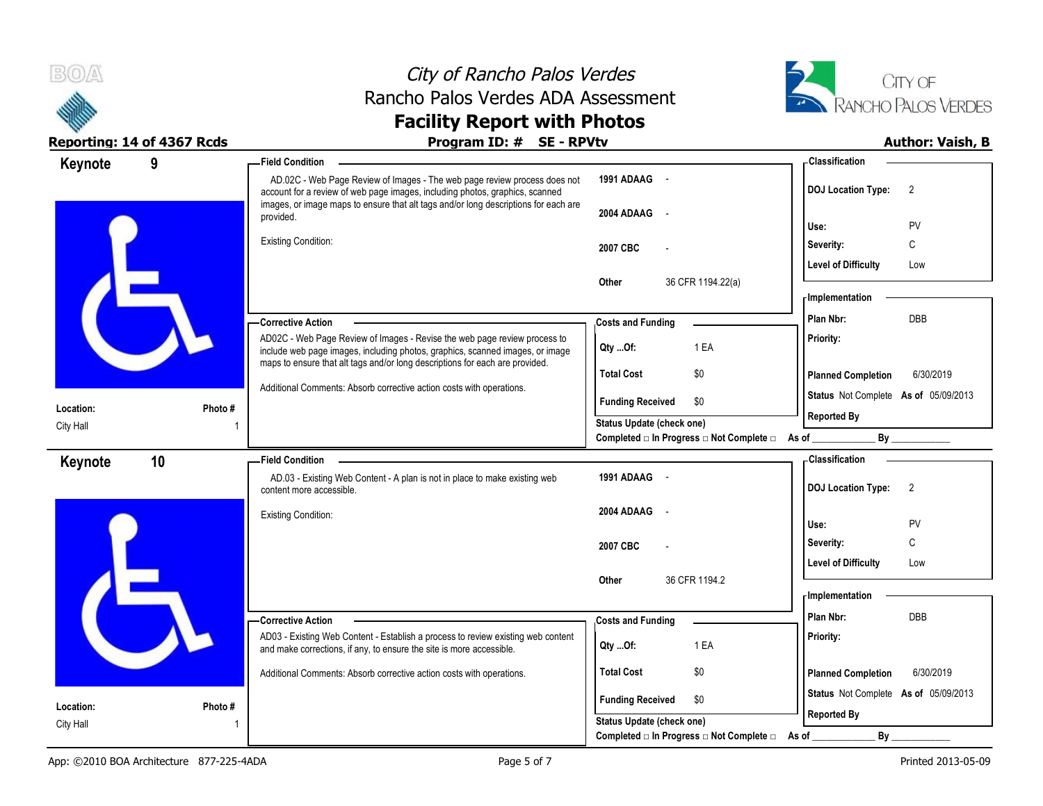



#### **Reporting: 14 of 4367 Rcds Program ID: # SE - RPVtv Author: Vaish, B Author: Vaish, B**

| Keynote   | 9       | -Field Condition                                                                                                                                                                                                                           |                                                                                              | - Classification                            |
|-----------|---------|--------------------------------------------------------------------------------------------------------------------------------------------------------------------------------------------------------------------------------------------|----------------------------------------------------------------------------------------------|---------------------------------------------|
|           |         | AD.02C - Web Page Review of Images - The web page review process does not<br>account for a review of web page images, including photos, graphics, scanned                                                                                  | 1991 ADAAG -                                                                                 | <b>DOJ Location Type:</b><br>$\overline{2}$ |
|           |         | images, or image maps to ensure that alt tags and/or long descriptions for each are<br>provided.                                                                                                                                           | 2004 ADAAG<br>$\sim$                                                                         | PV<br>Use:                                  |
|           |         | <b>Existing Condition:</b>                                                                                                                                                                                                                 | 2007 CBC                                                                                     | Severity:<br>С                              |
|           |         |                                                                                                                                                                                                                                            |                                                                                              | <b>Level of Difficulty</b><br>Low           |
|           |         |                                                                                                                                                                                                                                            | Other<br>36 CFR 1194.22(a)                                                                   | - Implementation                            |
|           |         | -Corrective Action                                                                                                                                                                                                                         | <b>Costs and Funding</b>                                                                     | <b>DBB</b><br>Plan Nbr:                     |
|           |         | AD02C - Web Page Review of Images - Revise the web page review process to<br>include web page images, including photos, graphics, scanned images, or image<br>maps to ensure that alt tags and/or long descriptions for each are provided. | 1 EA<br>Qty Of:                                                                              | Priority:                                   |
|           |         |                                                                                                                                                                                                                                            | <b>Total Cost</b><br>\$0                                                                     | <b>Planned Completion</b><br>6/30/2019      |
| Location: | Photo # | Additional Comments: Absorb corrective action costs with operations.                                                                                                                                                                       | <b>Funding Received</b><br>\$0                                                               | Status Not Complete As of 05/09/2013        |
| City Hall |         |                                                                                                                                                                                                                                            | <b>Status Update (check one)</b><br>Completed □ In Progress □ Not Complete □ As of _________ | <b>Reported By</b><br>By                    |
| Keynote   | 10      | <b>Field Condition -</b>                                                                                                                                                                                                                   |                                                                                              | <b>Classification</b>                       |
|           |         | AD.03 - Existing Web Content - A plan is not in place to make existing web<br>content more accessible.                                                                                                                                     | 1991 ADAAG -                                                                                 | <b>DOJ Location Type:</b><br>2              |
|           |         | <b>Existing Condition:</b>                                                                                                                                                                                                                 | 2004 ADAAG<br>$\sim$ $\sim$                                                                  | PV<br>Use:                                  |
|           |         |                                                                                                                                                                                                                                            | 2007 CBC                                                                                     | C<br>Severity:                              |
|           |         |                                                                                                                                                                                                                                            |                                                                                              | <b>Level of Difficulty</b><br>Low           |
|           |         |                                                                                                                                                                                                                                            | 36 CFR 1194.2<br>Other                                                                       | - Implementation                            |
|           |         | -Corrective Action                                                                                                                                                                                                                         | <b>Costs and Funding</b>                                                                     | Plan Nbr:<br><b>DBB</b>                     |
|           |         | AD03 - Existing Web Content - Establish a process to review existing web content<br>and make corrections, if any, to ensure the site is more accessible.                                                                                   | 1 EA<br>Qty Of:                                                                              | Priority:                                   |
|           |         | Additional Comments: Absorb corrective action costs with operations.                                                                                                                                                                       | <b>Total Cost</b><br>\$0                                                                     | 6/30/2019<br><b>Planned Completion</b>      |
| Location: | Photo # |                                                                                                                                                                                                                                            | <b>Funding Received</b><br>\$0                                                               | Status Not Complete As of 05/09/2013        |
| City Hall |         |                                                                                                                                                                                                                                            | <b>Status Update (check one)</b>                                                             | <b>Reported By</b>                          |
|           |         |                                                                                                                                                                                                                                            | Completed □ In Progress □ Not Complete □ As of                                               | $By$ <sub>—</sub>                           |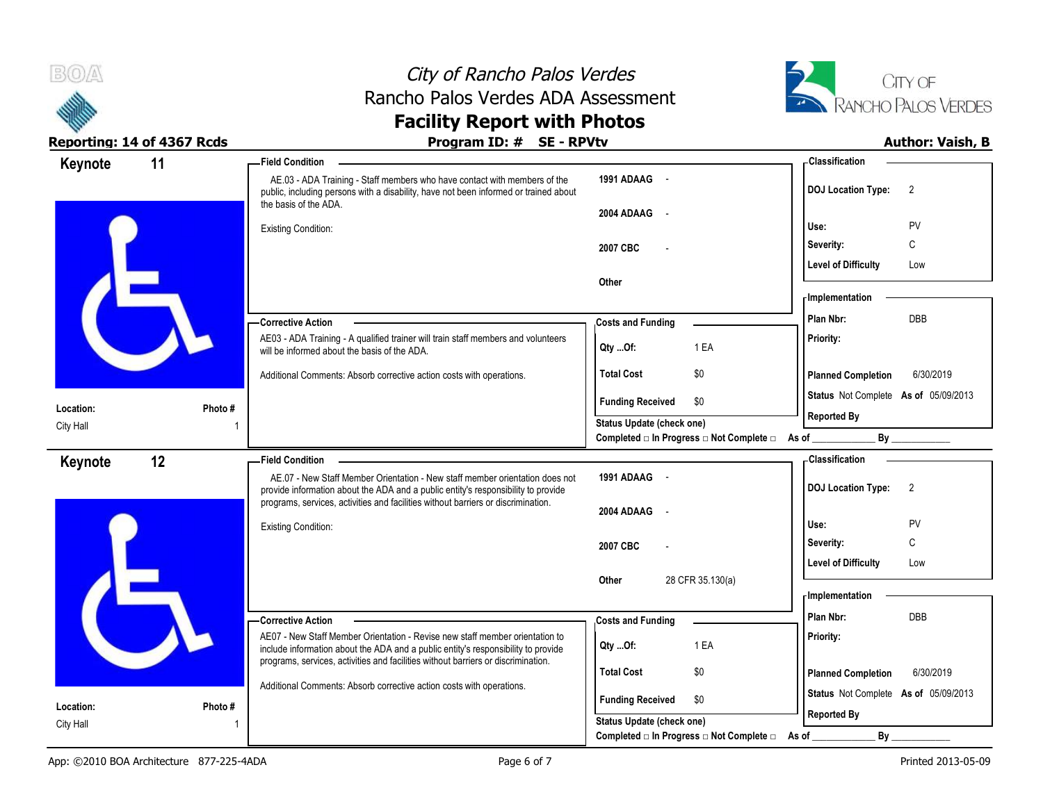